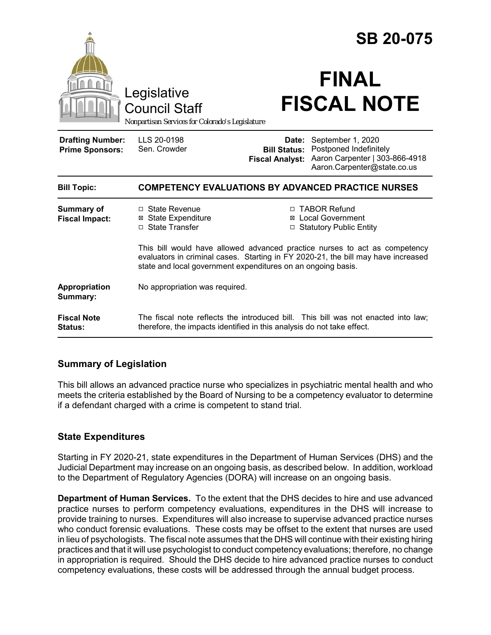|                                                   |                                                                                                                                                                                                                                 |                                 | <b>SB 20-075</b>                                                                                                                 |
|---------------------------------------------------|---------------------------------------------------------------------------------------------------------------------------------------------------------------------------------------------------------------------------------|---------------------------------|----------------------------------------------------------------------------------------------------------------------------------|
|                                                   | Legislative<br><b>Council Staff</b><br>Nonpartisan Services for Colorado's Legislature                                                                                                                                          |                                 | <b>FINAL</b><br><b>FISCAL NOTE</b>                                                                                               |
| <b>Drafting Number:</b><br><b>Prime Sponsors:</b> | LLS 20-0198<br>Sen. Crowder                                                                                                                                                                                                     | Date:<br><b>Fiscal Analyst:</b> | September 1, 2020<br><b>Bill Status:</b> Postponed Indefinitely<br>Aaron Carpenter   303-866-4918<br>Aaron.Carpenter@state.co.us |
| <b>Bill Topic:</b>                                | <b>COMPETENCY EVALUATIONS BY ADVANCED PRACTICE NURSES</b>                                                                                                                                                                       |                                 |                                                                                                                                  |
| <b>Summary of</b><br><b>Fiscal Impact:</b>        | □ State Revenue<br><b>⊠</b> State Expenditure<br>□ State Transfer                                                                                                                                                               |                                 | □ TABOR Refund<br>⊠ Local Government<br>□ Statutory Public Entity                                                                |
|                                                   | This bill would have allowed advanced practice nurses to act as competency<br>evaluators in criminal cases. Starting in FY 2020-21, the bill may have increased<br>state and local government expenditures on an ongoing basis. |                                 |                                                                                                                                  |
| Appropriation<br>Summary:                         | No appropriation was required.                                                                                                                                                                                                  |                                 |                                                                                                                                  |
| <b>Fiscal Note</b><br>Status:                     | therefore, the impacts identified in this analysis do not take effect.                                                                                                                                                          |                                 | The fiscal note reflects the introduced bill. This bill was not enacted into law;                                                |

# **Summary of Legislation**

This bill allows an advanced practice nurse who specializes in psychiatric mental health and who meets the criteria established by the Board of Nursing to be a competency evaluator to determine if a defendant charged with a crime is competent to stand trial.

# **State Expenditures**

Starting in FY 2020-21, state expenditures in the Department of Human Services (DHS) and the Judicial Department may increase on an ongoing basis, as described below. In addition, workload to the Department of Regulatory Agencies (DORA) will increase on an ongoing basis.

**Department of Human Services.** To the extent that the DHS decides to hire and use advanced practice nurses to perform competency evaluations, expenditures in the DHS will increase to provide training to nurses. Expenditures will also increase to supervise advanced practice nurses who conduct forensic evaluations. These costs may be offset to the extent that nurses are used in lieu of psychologists. The fiscal note assumes that the DHS will continue with their existing hiring practices and that it will use psychologist to conduct competency evaluations; therefore, no change in appropriation is required. Should the DHS decide to hire advanced practice nurses to conduct competency evaluations, these costs will be addressed through the annual budget process.